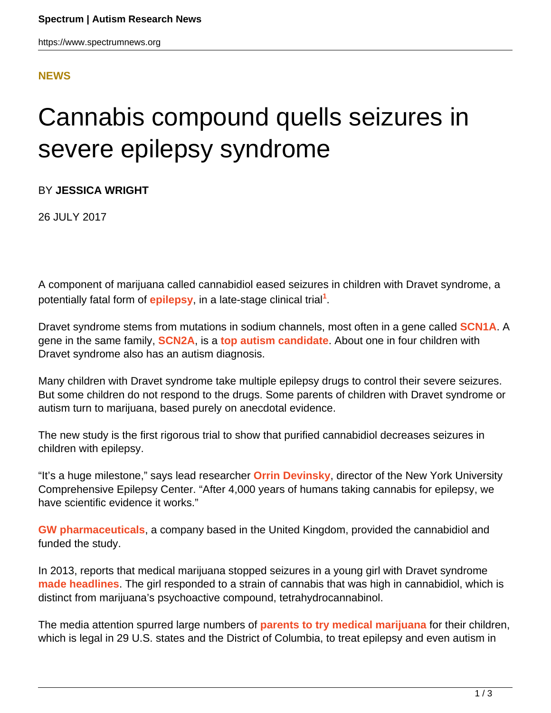#### **[NEWS](HTTPS://WWW.SPECTRUMNEWS.ORG/NEWS/)**

# Cannabis compound quells seizures in severe epilepsy syndrome

BY **JESSICA WRIGHT**

26 JULY 2017

A component of marijuana called cannabidiol eased seizures in children with Dravet syndrome, a potentially fatal form of *[epilepsy](https://www.spectrumnews.org/wiki/epilepsy/)*, in a late-stage clinical trial<sup>1</sup>.

Dravet syndrome stems from mutations in sodium channels, most often in a gene called **[SCN1A](https://gene.sfari.org/database/human-gene/SCN1A)**. A gene in the same family, **[SCN2A](https://gene.sfari.org/database/human-gene/SCN2A)**, is a **[top autism candidate](https://www.spectrumnews.org/news/race-crack-autisms-code-two-contenders-shoot-ahead/)**. About one in four children with Dravet syndrome also has an autism diagnosis.

Many children with Dravet syndrome take multiple epilepsy drugs to control their severe seizures. But some children do not respond to the drugs. Some parents of children with Dravet syndrome or autism turn to marijuana, based purely on anecdotal evidence.

The new study is the first rigorous trial to show that purified cannabidiol decreases seizures in children with epilepsy.

"It's a huge milestone," says lead researcher **[Orrin Devinsky](http://nyulangone.org/doctors/1679581623/orrin-devinsky)**, director of the New York University Comprehensive Epilepsy Center. "After 4,000 years of humans taking cannabis for epilepsy, we have scientific evidence it works."

**[GW pharmaceuticals](http://www.gwpharm.com/)**, a company based in the United Kingdom, provided the cannabidiol and funded the study.

In 2013, reports that medical marijuana stopped seizures in a young girl with Dravet syndrome **[made headlines](http://www.cnn.com/2013/08/07/health/charlotte-child-medical-marijuana/index.html)**. The girl responded to a strain of cannabis that was high in cannabidiol, which is distinct from marijuana's psychoactive compound, tetrahydrocannabinol.

The media attention spurred large numbers of **[parents to try medical marijuana](https://www.spectrumnews.org/features/deep-dive/the-pioneers-parents-treating-autism-with-marijuana/)** for their children, which is legal in 29 U.S. states and the District of Columbia, to treat epilepsy and even autism in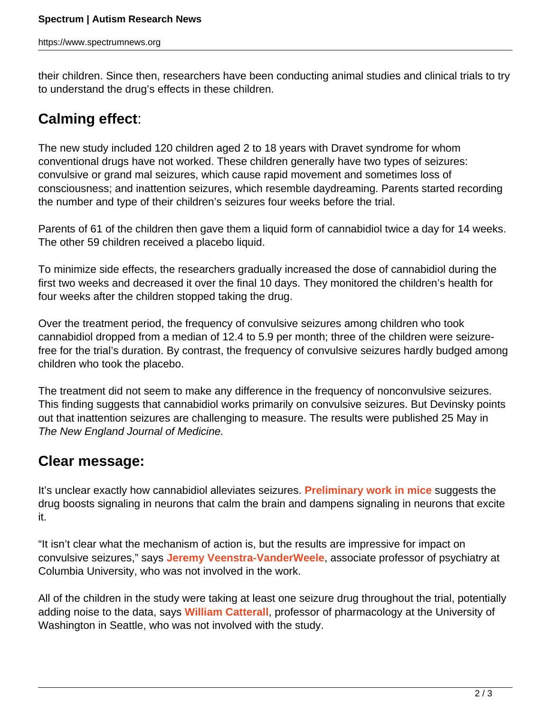their children. Since then, researchers have been conducting animal studies and clinical trials to try to understand the drug's effects in these children.

## **Calming effect**:

The new study included 120 children aged 2 to 18 years with Dravet syndrome for whom conventional drugs have not worked. These children generally have two types of seizures: convulsive or grand mal seizures, which cause rapid movement and sometimes loss of consciousness; and inattention seizures, which resemble daydreaming. Parents started recording the number and type of their children's seizures four weeks before the trial.

Parents of 61 of the children then gave them a liquid form of cannabidiol twice a day for 14 weeks. The other 59 children received a placebo liquid.

To minimize side effects, the researchers gradually increased the dose of cannabidiol during the first two weeks and decreased it over the final 10 days. They monitored the children's health for four weeks after the children stopped taking the drug.

Over the treatment period, the frequency of convulsive seizures among children who took cannabidiol dropped from a median of 12.4 to 5.9 per month; three of the children were seizurefree for the trial's duration. By contrast, the frequency of convulsive seizures hardly budged among children who took the placebo.

The treatment did not seem to make any difference in the frequency of nonconvulsive seizures. This finding suggests that cannabidiol works primarily on convulsive seizures. But Devinsky points out that inattention seizures are challenging to measure. The results were published 25 May in The New England Journal of Medicine.

### **Clear message:**

It's unclear exactly how cannabidiol alleviates seizures. **[Preliminary work in mice](https://www.spectrumnews.org/news/marijuana-ingredient-sparks-social-behavior-epilepsy-model/)** suggests the drug boosts signaling in neurons that calm the brain and dampens signaling in neurons that excite it.

"It isn't clear what the mechanism of action is, but the results are impressive for impact on convulsive seizures," says **[Jeremy Veenstra-VanderWeele](https://www.spectrumnews.org/author/jeremy/)**, associate professor of psychiatry at Columbia University, who was not involved in the work.

All of the children in the study were taking at least one seizure drug throughout the trial, potentially adding noise to the data, says **[William Catterall](https://www.spectrumnews.org/author/williamcatterall/)**, professor of pharmacology at the University of Washington in Seattle, who was not involved with the study.